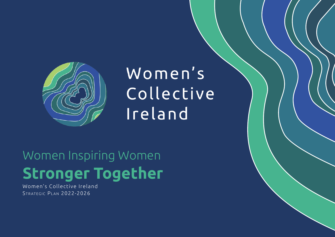

# Women's Collective Ireland

# Women Inspiring Women **Stronger Together**

Women's Collective Ireland STRATEGIC PLAN 2022-2026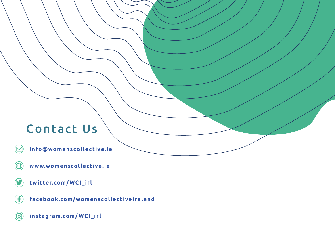## Contact Us

**info@womenscollective.ie** M

- $\bigoplus$ **www.womenscollective.ie**
- **twitter.com/WCI\_irl**
- G **facebook.com/womenscollectiveireland**
- **instagram.com/WCI\_irl** $\circled{\textcircled{\small{2}}}$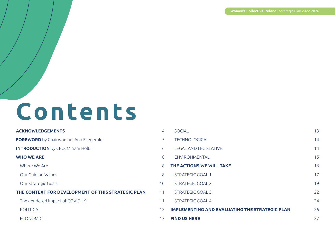# **Contents**

## **ACKNOWLEDGEMENTS** 4 **FOREWORD** by Chairwoman, Ann Fitzgerald **INTRODUCTION** by CEO, Miriam Holt **WHO WE ARE** Where We Are Our Guiding Values Our Strategic Goals 100 and 200 and 200 and 200 and 200 and 200 and 200 and 200 and 200 and 200 and 200 and 20 **THE CONTEXT FOR DEVELOPMENT OF THIS STRATEGIC PLAN** The gendered impact of COVID-19 POLITICAL **ECONOMIC**

| $\overline{4}$  | <b>SOCIAL</b>                                         | 13 |
|-----------------|-------------------------------------------------------|----|
| 5               | <b>TECHNOLOGICAL</b>                                  | 14 |
| 6               | <b>LEGAL AND LEGISLATIVE</b>                          | 14 |
| 8               | <b>ENVIRONMENTAL</b>                                  | 15 |
| 8               | THE ACTIONS WE WILL TAKE                              | 16 |
| 8               | <b>STRATEGIC GOAL 1</b>                               | 17 |
| 10              | STRATEGIC GOAL 2                                      | 19 |
| $\overline{11}$ | <b>STRATEGIC GOAL 3</b>                               | 22 |
| 11              | <b>STRATEGIC GOAL 4</b>                               | 24 |
| 12              | <b>IMPLEMENTING AND EVALUATING THE STRATEGIC PLAN</b> | 26 |
| 13.             | <b>FIND US HERE</b>                                   | 27 |
|                 |                                                       |    |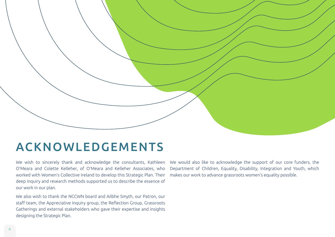

## ACKNOWLEDGEMENTS

We wish to sincerely thank and acknowledge the consultants, Kathleen O'Meara and Colette Kelleher, of O'Meara and Kelleher Associates, who worked with Women's Collective Ireland to develop this Strategic Plan. Their deep inquiry and research methods supported us to describe the essence of our work in our plan.

We also wish to thank the NCCWN board and Ailbhe Smyth, our Patron, our staff team, the Appreciative Inquiry group, the Reflection Group, Grassroots Gatherings and external stakeholders who gave their expertise and insights designing the Strategic Plan.

We would also like to acknowledge the support of our core funders, the Department of Children, Equality, Disability, Integration and Youth, which makes our work to advance grassroots women's equality possible.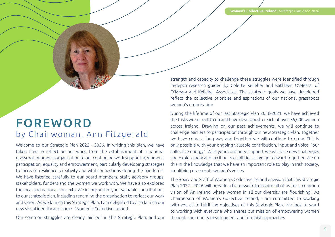## FOREWORD by Chair woman, Ann Fitzgerald

Welcome to our Strategic Plan 2022 - 2026. In writing this plan, we have taken time to reflect on our work, from the establishment of a national grassroots women's organisation to our continuing work supporting women's participation, equality and empowerment, particularly developing strategies to increase resilience, creativity and vital connections during the pandemic. We have listened carefully to our board members, staff, advisory groups, stakeholders, funders and the women we work with. We have also explored the local and national contexts. We incorporated your valuable contributions to our strategic plan, including renaming the organisation to reflect our work and vision. As we launch this Strategic Plan, I am delighted to also launch our new visual identity and name - Women's Collective Ireland.

Our common struggles are clearly laid out in this Strategic Plan, and our

strength and capacity to challenge these struggles were identified through in-depth research guided by Colette Kelleher and Kathleen O'Meara, of O'Meara and Kelleher Associates. The strategic goals we have developed reflect the collective priorities and aspirations of our national grassroots women's organisation.

During the lifetime of our last Strategic Plan 2016-2021, we have achieved the tasks we set out to do and have developed a reach of over 36,000 women across Ireland. Drawing on our past achievements, we will continue to challenge barriers to participation through our new Strategic Plan. Together we have come a long way and together we will continue to grow. This is only possible with your ongoing valuable contribution, input and voice, "our collective energy". With your continued support we will face new challenges and explore new and exciting possibilities as we go forward together. We do this in the knowledge that we have an important role to play in Irish society, amplifying grassroots women's voices.

The Board and Staff of Women's Collective Ireland envision that this Strategic Plan 2022– 2026 will provide a framework to inspire all of us for a common vision of 'An Ireland where women in all our diversity are flourishing'. As Chairperson of Women's Collective Ireland, I am committed to working with you all to fulfil the objectives of this Strategic Plan. We look forward to working with everyone who shares our mission of empowering women through community development and feminist approaches.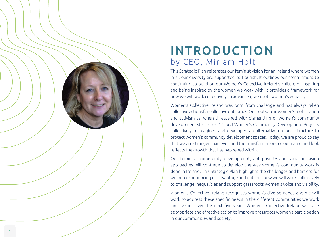

## INTRODUCTION by CEO, Miriam Holt

This Strategic Plan reiterates our feminist vision for an Ireland where women in all our diversity are supported to flourish. It outlines our commitment to continuing to build on our Women's Collective Ireland's culture of inspiring and being inspired by the women we work with. It provides a framework for how we will work collectively to advance grassroots women's equality.

Women's Collective Ireland was born from challenge and has always taken collective actions for collective outcomes. Our roots are in women's mobilisation and activism as, when threatened with dismantling of women's community development structures, 17 local Women's Community Development Projects collectively re-imagined and developed an alternative national structure to protect women's community development spaces. Today, we are proud to say that we are stronger than ever, and the transformations of our name and look reflects the growth that has happened within.

Our feminist, community development, anti-poverty and social inclusion approaches will continue to develop the way women's community work is done in Ireland. This Strategic Plan highlights the challenges and barriers for women experiencing disadvantage and outlines how we will work collectively to challenge inequalities and support grassroots women's voice and visibility.

Women's Collective Ireland recognises women's diverse needs and we will work to address these specific needs in the different communities we work and live in. Over the next five years, Women's Collective Ireland will take appropriate and effective action to improve grassroots women's participation in our communities and society.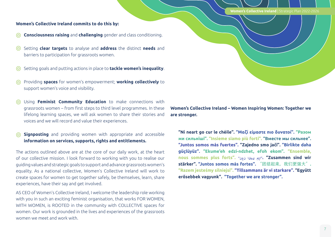**Women's Collective Ireland** | Strategic Plan 2022-2026

#### **Women's Collective Ireland commits to do this by:**

- **Consciousness raising** and **challenging** gender and class conditioning.  $\odot$
- Setting **clear targets** to analyse and **address** the distinct **needs** and  $\odot$ barriers to participation for grassroots women.
- Setting goals and putting actions in place to **tackle women's inequality**.
- Providing **spaces** for women's empowerment; **working collectively** to support women's voice and visibility.
- Using **Feminist Community Education** to make connections with grassroots women – from first steps to third level programmes. In these lifelong learning spaces, we will ask women to share their stories and voices and we will record and value their experiences.
- **Signposting** and providing women with appropriate and accessible  $\odot$ **information on services, supports, rights and entitlements.**

The actions outlined above are at the core of our daily work, at the heart of our collective mission. I look forward to working with you to realise our guiding values and strategic goals to support and advance grassroots women's equality. As a national collective, Women's Collective Ireland will work to create spaces for women to get together safely, be themselves, learn, share experiences, have their say and get involved.

AS CEO of Women's Collective Ireland, I welcome the leadership role working with you in such an exciting feminist organisation, that works FOR WOMEN, WITH WOMEN, is ROOTED in the community with COLLECTIVE spaces for women. Our work is grounded in the lives and experiences of the grassroots women we meet and work with.

**Women's Collective Ireland – Women Inspiring Women: Together we are stronger.** 

**"Ní neart go cur le chéile". "Μαζί είμαστε πιο δυνατοί". "Разом ми сильніші". "Insieme siamo più forti". "Вместе мы сильнее". "Juntos somos más fuertes". "Zajedno smo jači". "Birlikte daha güçlüyüz". "Ekume'eh edzi-ndzhet, efoh ekom". "Ensemble, nous sommes plus forts". "نحن ىوقا اعم"." Zusammen sind wir stärker". "Juntos somos más fortes".** "团结起来,我们更强大"**. "Razem jesteśmy silniejsi". "Tillsammans är vi starkare". "Együtt erősebbek vagyunk". "Together we are stronger".**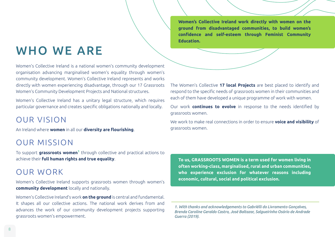## WHO WE ARE

Women's Collective Ireland is a national women's community development organisation advancing marginalised women's equality through women's community development. Women's Collective Ireland represents and works directly with women experiencing disadvantage, through our 17 Grassroots Women's Community Development Projects and National structures.

Women's Collective Ireland has a unitary legal structure, which requires particular governance and creates specific obligations nationally and locally.

### OUR VISION

An Ireland where **women** in all our **diversity are flourishing**.

## OUR MISSION

To support **grassroots women1** through collective and practical actions to achieve their **full human rights and true equality**.

## OUR WORK

Women's Collective Ireland supports grassroots women through women's **community development** locally and nationally.

Women's Collective Ireland's work **on the ground** is central and fundamental. It shapes all our collective actions. The national work derives from and advances the work of our community development projects supporting grassroots women's empowerment.

**Women's Collective Ireland work directly with women on the ground from disadvantaged communities, to build women's confidence and self-esteem through Feminist Community Education.**

The Women's Collective **17 local Projects** are best placed to identify and respond to the specific needs of grassroots women in their communities and each of them have developed a unique programme of work with women.

Our work **continues to evolve** in response to the needs identified by grassroots women.

We work to make real connections in order to ensure **voice and visibility** of grassroots women.

**To us, GRASSROOTS WOMEN is a term used for women living in often working-class, marginalised, rural and urban communities, who experience exclusion for whatever reasons including economic, cultural, social and political exclusion.**

*<sup>1.</sup> With thanks and acknowledgements to Gabriélli do Livramento Gonçalves, Brenda Caroline Geraldo Castro, José Baltazar, Salgueirinho Osório de Andrade Guerra (2019).*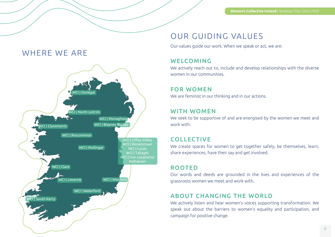## WHERE WE ARE



## OUR GUIDING VALUES

Our values guide our work. When we speak or act, we are:

#### WELCOMING

We actively reach out to, include and develop relationships with the diverse women in our communities.

#### FOR WOMEN

We are feminist in our thinking and in our actions.

#### WITH WOMEN

We seek to be supportive of and are energised by the women we meet and work with.

#### COLLECTIVE

We create spaces for women to get together safely, be themselves, learn, share experiences, have their say and get involved.

#### ROOTED

Our words and deeds are grounded in the lives and experiences of the grassroots women we meet and work with.

#### ABOUT CHANGING THE WORLD

We actively listen and hear women's voices supporting transformation. We speak out about the barriers to women's equality and participation, and campaign for positive change.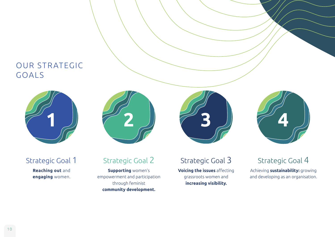## OUR STRATEGIC GOALS



Strategic Goal 1

**Reaching out** and **engaging** women.



## Strategic Goal 2

**Supporting** women's empowerment and participation through feminist **community development.**



Strategic Goal 3

**Voicing the issues** affecting grassroots women and **increasing visibility.** 



## Strategic Goal 4

Achieving **sustainability:** growing and developing as an organisation.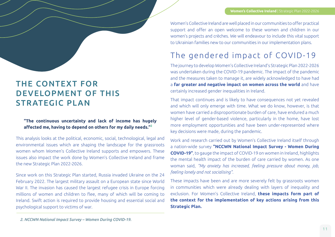## THE CONTEXT FOR DEVELOPMENT OF THIS STRATEGIC PLAN

#### **"The continuous uncertainty and lack of income has hugely affected me, having to depend on others for my daily needs."<sup>2</sup>**

This analysis looks at the political, economic, social, technological, legal and environmental issues which are shaping the landscape for the grassroots women whom Women's Collective Ireland supports and empowers. These issues also impact the work done by Women's Collective Ireland and frame the new Strategic Plan 2022-2026.

Since work on this Strategic Plan started, Russia invaded Ukraine on the 24 February 2022. The largest military assault on a European state since World War II. The invasion has caused the largest refugee crisis in Europe forcing millions of women and children to flee, many of which will be coming to Ireland. Swift action is required to provide housing and essential social and psychological support to victims of war.

Women's Collective Ireland are well placed in our communities to offer practical support and offer an open welcome to these women and children in our women's projects and crèches. We will endeavour to include this vital support to Ukrainian families new to our communities in our implementation plans.

## The gendered impact of COVID-19

The journey to develop Women's Collective Ireland's Strategic Plan 2022-2026 was undertaken during the COVID-19 pandemic. The impact of the pandemic and the measures taken to manage it, are widely acknowledged to have had a **far greater and negative impact on women across the world** and have certainly increased gender inequalities in Ireland.

That impact continues and is likely to have consequences not yet revealed and which will only emerge with time. What we do know, however, is that women have carried a disproportionate burden of care, have endured a much higher level of gender-based violence, particularly in the home, have lost more employment opportunities and have been under-represented where key decisions were made, during the pandemic.

Work and research carried out by Women's Collective Ireland itself through a nation-wide survey **"NCCWN National Impact Survey - Women During COVID-19"**, to gauge the impact of COVID-19 on women in Ireland, highlights the mental health impact of the burden of care carried by women. As one woman said, *"My anxiety has increased, feeling pressure about money, job, feeling lonely and not socialising"*.

These impacts have been and are more severely felt by grassroots women in communities which were already dealing with layers of inequality and exclusion. For Women's Collective Ireland, **these impacts form part of the context for the implementation of key actions arising from this Strategic Plan.**

*2. NCCWN National Impact Survey – Women During COVID-19.*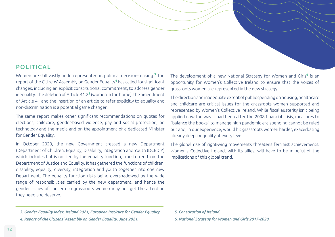#### POLITIC AL

Women are still vastly underrepresented in political decision-making.**<sup>3</sup>** The report of the Citizens' Assembly on Gender Equality**<sup>4</sup>** has called for significant changes, including an explicit constitutional commitment, to address gender inequality. The deletion of Article 41.2**<sup>5</sup>** (women in the home), the amendment of Article 41 and the insertion of an article to refer explicitly to equality and non-discrimination is a potential game changer.

The same report makes other significant recommendations on quotas for elections, childcare, gender-based violence, pay and social protection, on technology and the media and on the appointment of a dedicated Minister for Gender Equality.

In October 2020, the new Government created a new Department (Department of Children, Equality, Disability, Integration and Youth (DCEDIY) which includes but is not led by the equality function, transferred from the Department of Justice and Equality. It has gathered the functions of children, disability, equality, diversity, integration and youth together into one new Department. The equality function risks being overshadowed by the wide range of responsibilities carried by the new department, and hence the gender issues of concern to grassroots women may not get the attention they need and deserve.

The development of a new National Strategy for Women and Girls**<sup>6</sup>** is an opportunity for Women's Collective Ireland to ensure that the voices of grassroots women are represented in the new strategy.

The direction and inadequate extent of public spending on housing, healthcare and childcare are critical issues for the grassroots women supported and represented by Women's Collective Ireland. While fiscal austerity isn't being applied now the way it had been after the 2008 financial crisis, measures to "balance the books" to manage high pandemic-era spending cannot be ruled out and, in our experience, would hit grassroots women harder, exacerbating already deep inequality at every level.

The global rise of right-wing movements threatens feminist achievements. Women's Collective Ireland, with its allies, will have to be mindful of the implications of this global trend.

*5. Constitution of Ireland.*

*6. National Strategy for Women and Girls 2017-2020.*

*<sup>3.</sup> Gender Equality Index, Ireland 2021, European Institute for Gender Equality.*

*<sup>4.</sup> Report of the Citizens' Assembly on Gender Equality, June 2021.*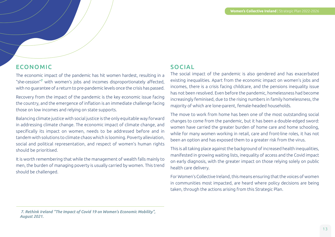#### ECONOMIC

The economic impact of the pandemic has hit women hardest, resulting in a "she-cession"**<sup>7</sup>** with women's jobs and incomes disproportionately affected, with no guarantee of a return to pre-pandemic levels once the crisis has passed.

Recovery from the impact of the pandemic is the key economic issue facing the country, and the emergence of inflation is an immediate challenge facing those on low incomes and relying on state supports.

Balancing climate justice with social justice is the only equitable way forward in addressing climate change. The economic impact of climate change, and specifically its impact on women, needs to be addressed before and in tandem with solutions to climate chaos which is looming. Poverty alleviation, social and political representation, and respect of women's human rights should be prioritised.

It is worth remembering that while the management of wealth falls mainly to men, the burden of managing poverty is usually carried by women. This trend should be challenged.

#### SOCIAL

The social impact of the pandemic is also gendered and has exacerbated existing inequalities. Apart from the economic impact on women's jobs and incomes, there is a crisis facing childcare, and the pensions inequality issue has not been resolved. Even before the pandemic, homelessness had become increasingly feminised, due to the rising numbers in family homelessness, the majority of which are lone-parent, female-headed households.

The move to work from home has been one of the most outstanding social changes to come from the pandemic, but it has been a double-edged sword: women have carried the greater burden of home care and home schooling, while for many women working in retail, care and front-line roles, it has not been an option and has exposed them to a greater risk from the virus.

This is all taking place against the background of increased health inequalities, manifested in growing waiting lists, inequality of access and the Covid impact on early diagnosis, with the greater impact on those relying solely on public health care delivery.

For Women's Collective Ireland, this means ensuring that the voices of women in communities most impacted, are heard where policy decisions are being taken, through the actions arising from this Strategic Plan.

 *<sup>7.</sup> Rethink Ireland "The Impact of Covid 19 on Women's Economic Mobility", August 2021.*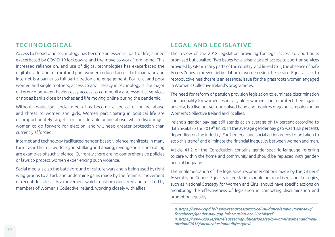#### **TECHNOLOGICAL**

Access to broadband technology has become an essential part of life, a need exacerbated by COVID-19 lockdowns and the move to work from home. This increased reliance on, and use of digital technologies has exacerbated the digital divide, and for rural and poor women reduced access to broadband and internet is a barrier to full participation and engagement. For rural and poor women and single mothers, access to and literacy in technology is the major difference between having easy access to community and essential services or not as banks close branches and life moving online during the pandemic.

Without regulation, social media has become a source of online abuse and threat to women and girls. Women participating in political life are disproportionately targets for considerable online abuse, which discourages women to go forward for election, and will need greater protection than currently afforded.

Internet and technology-facilitated gender-based violence manifests in many forms as in the real world - cyberstalking and doxing, revenge porn and trolling are examples of such violence. Currently there are no comprehensive policies or laws to protect women experiencing such violence.

Social media is also the battleground of culture wars and is being used by right wing groups to attack and undermine gains made by the feminist movement of recent decades. It is a movement which must be countered and resisted by members of Women's Collective Ireland, working closely with allies.

#### LEGAL AND LEGISLATIVE

The review of the 2018 legislation providing for legal access to abortion is promised but awaited. Two issues have arisen: lack of access to abortion services provided by GPs in many parts of the country, and linked to it, the absence of Safe Access Zones to prevent intimidation of women using the service. Equal access to reproductive healthcare is an essential issue for the grassroots women engaged in Women's Collective Ireland's programmes.

The need for reform of pension provision legislation to eliminate discrimination and inequality for women, especially older women, and to protect them against poverty, is a live but yet unresolved issue and requires ongoing campaigning by Women's Collective Ireland and its allies.

Ireland's gender pay gap still stands at an average of 14 percent according to data available for 2019**<sup>8</sup>** (in 2014 the average gender pay gap was 13.9 percent), depending on the industry. Further legal and social action needs to be taken to stop this trend**9** and eliminate the financial inequality between women and men.

Article 41.2 of the Constitution contains gender-specific language referring to care within the home and community and should be replaced with genderneutral language.

The implementation of the legislative recommendations made by the Citizens' Assembly on Gender Equality in legislation should be prioritised, and strategies, such as National Strategy for Women and Girls, should have specific actions on monitoring the effectiveness of legislation in combating discrimination and promoting equality.

*<sup>8.</sup> https://www.cipd.ie/news-resources/practical-guidance/employment-law/ factsheets/gender-pay-gap-information-act-2021#gref*

*<sup>9.</sup> https://www.cso.ie/en/releasesandpublications/ep/p-wamii/womenandmeninireland2016/socialcohesionandlifestyles/*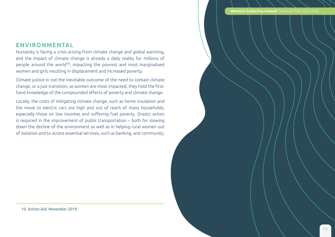**Women's Collective Ireland** | Strategic Plan 2022-2026

#### ENVIRONMENTAL

Humanity is facing a crisis arising from climate change and global warming, and the impact of climate change is already a daily reality for millions of people around the world**<sup>10</sup>**, impacting the poorest and most marginalised women and girls resulting in displacement and increased poverty.

Climate justice in not the inevitable outcome of the need to contain climate change, or a just transition; as women are most impacted, they hold the firsthand knowledge of the compounded effects of poverty and climate change.

Locally, the costs of mitigating climate change, such as home insulation and the move to electric cars are high and out of reach of many households, especially those on low incomes and suffering fuel poverty. Drastic action is required in the improvement of public transportation – both for slowing down the decline of the environment as well as in helping rural women out of isolation and to access essential services, such as banking, and community.

 *10. Action Aid, November 2019.*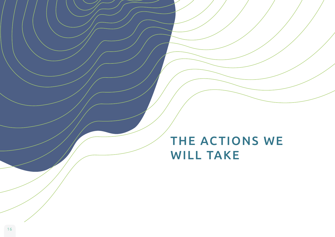## THE ACTIONS WE WILL TAKE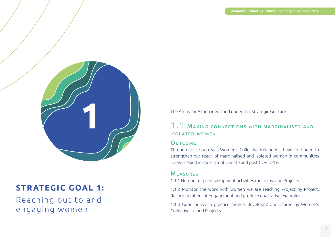

## **STR ATEGIC GOAL 1:**

Reaching out to and engaging women

The Areas for Action identified under this Strategic Goal are:

#### 1.1 Making connections with marginalised and isolated women

#### **OUTCOME**

Through active outreach Women's Collective Ireland will have continued to strengthen our reach of marginalised and isolated women in communities across Ireland in the current climate and post COVID-19.

#### **MEASURES**

1.1.1 Number of predevelopment activities run across the Projects.

1.1.2 Monitor the work with women we are reaching Project by Project. Record numbers of engagement and produce qualitative examples.

1.1.3 Good outreach practice models developed and shared by Women's Collective Ireland Projects.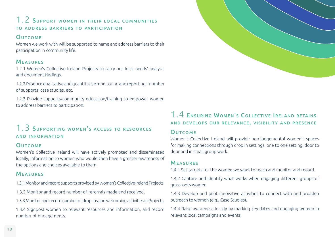### 1.2 SUPPORT WOMEN IN THEIR LOCAL COMMUNITIES to address barriers to participation

#### **OUTCOME**

Women we work with will be supported to name and address barriers to their participation in community life.

#### **MEASURES**

1.2.1 Women's Collective Ireland Projects to carry out local needs' analysis and document findings.

1.2.2 Produce qualitative and quantitative monitoring and reporting – number of supports, case studies, etc.

1.2.3 Provide supports/community education/training to empower women to address barriers to participation.

### 1.3 SUPPORTING WOMEN'S ACCESS TO RESOURCES and information

#### **OUTCOME**

Women's Collective Ireland will have actively promoted and disseminated locally, information to women who would then have a greater awareness of the options and choices available to them.

#### Measures

1.3.1 Monitor and record supports provided by Women's Collective Ireland Projects.

1.3.2 Monitor and record number of referrals made and received.

1.3.3 Monitor and record number of drop-ins and welcoming activities in Projects.

1.3.4 Signpost women to relevant resources and information, and record number of engagements.

#### 1.4 Ensuring Women's Collective Ireland retains and develops our relevance, visibility and presence

#### **OUTCOME**

Women's Collective Ireland will provide non-judgemental women's spaces for making connections through drop in settings, one to one setting, door to door and in small group work.

#### **MEASURES**

1.4.1 Set targets for the women we want to reach and monitor and record.

1.4.2 Capture and identify what works when engaging different groups of grassroots women.

1.4.3 Develop and pilot innovative activities to connect with and broaden outreach to women (e.g., Case Studies).

1.4.4 Raise awareness locally by marking key dates and engaging women in relevant local campaigns and events.

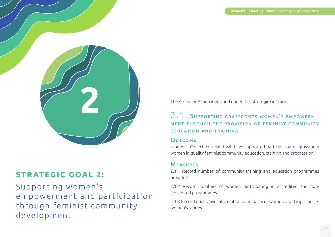

## **STRATEGIC GOAL 2:**

Supporting women's empowerment and participation through feminist community development

The Areas for Action identified under this Strategic Goal are:

#### 2.1. SUPPORTING GRASSROOTS WOMEN'S EMPOWERment through the provision of feminist communit y education and training

#### **OUTCOME**

Women's Collective Ireland will have supported participation of grassroots women in quality feminist community education, training and progression.

#### **MEASURES**

2.1.1 Record number of community training and education programmes provided.

2.1.2 Record numbers of women participating in accredited and nonaccredited programmes.

2.1.3 Record qualitative information on impacts of women's participation i.e. women's stories.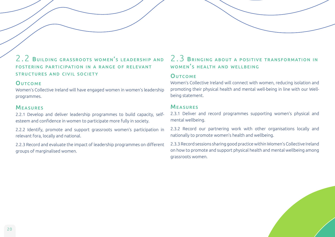

#### **OUTCOME**

Women's Collective Ireland will have engaged women in women's leadership programmes.

#### **MEASURES**

2.2.1 Develop and deliver leadership programmes to build capacity, selfesteem and confidence in women to participate more fully in society.

2.2.2 Identify, promote and support grassroots women's participation in relevant fora, locally and national.

2.2.3 Record and evaluate the impact of leadership programmes on different groups of marginalised women.

#### 2.3 Bringing about <sup>a</sup> positive transformation in WOMEN'S HEALTH AND WELLBEING

#### **OUTCOME**

Women's Collective Ireland will connect with women, reducing isolation and promoting their physical health and mental well-being in line with our Wellbeing statement.

#### **MEASURES**

2.3.1 Deliver and record programmes supporting women's physical and mental wellbeing.

2.3.2 Record our partnering work with other organisations locally and nationally to promote women's health and wellbeing.

2.3.3 Record sessions sharing good practice within Women's Collective Ireland on how to promote and support physical health and mental wellbeing among grassroots women.



20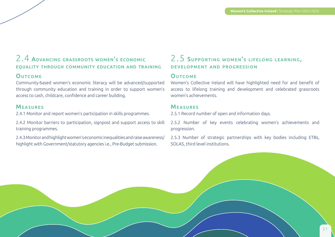### 2.4 Advancing grassroots women's economic equality through community education and training

#### **OUTCOME**

Community-based women's economic literacy will be advanced/supported through community education and training in order to support women's access to cash, childcare, confidence and career building.

#### **MEASURES**

2.4.1 Monitor and report women's participation in skills programmes.

2.4.2 Monitor barriers to participation, signpost and support access to skill training programmes.

2.4.3 Monitor and highlight women's economic inequalities and raise awareness/ highlight with Government/statutory agencies i.e., Pre-Budget submission.

#### 2.5 SUPPORTING WOMEN'S LIFELONG LEARNING, development and progression

#### **OUTCOME**

Women's Collective Ireland will have highlighted need for and benefit of access to lifelong training and development and celebrated grassroots women's achievements.

#### Measures

2.5.1 Record number of open and information days.

2.5.2 Number of key events celebrating women's achievements and progression.

2.5.3 Number of strategic partnerships with key bodies including ETBs, SOLAS, third level institutions.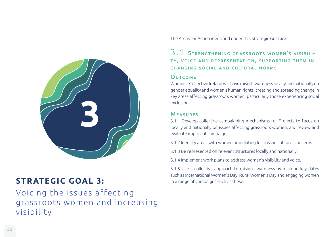

## **STR ATEGIC GOAL 3:** in a range of campaigns such as these.

Voicing the issues affecting grassroots women and increasing visibility

The Areas for Action identified under this Strategic Goal are:

#### 3.1 STRENGTHENING GRASSROOTS WOMEN'S VISIBILI-TY, VOICE AND REPRESENTATION, SUPPORTING THEM IN changing social and cultural norms

#### **OUTCOME**

Women's Collective Ireland will have raised awareness locally and nationally on gender equality and women's human rights, creating and spreading change in key areas affecting grassroots women, particularly those experiencing social exclusion.

#### Measures

3.1.1 Develop collective campaigning mechanisms for Projects to focus on locally and nationally on issues affecting grassroots women, and review and evaluate impact of campaigns.

3.1.2 Identify areas with women articulating local issues of local concerns.

3.1.3 Be represented on relevant structures locally and nationally.

3.1.4 Implement work plans to address women's visibility and voice.

3.1.5 Use a collective approach to raising awareness by marking key dates such as International Women's Day, Rural Women's Day and engaging women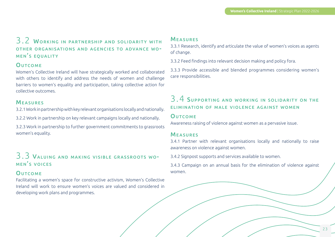#### 3.2 WORKING IN PARTNERSHIP AND SOLIDARITY WITH other organisations and agencies to advance wo-MEN'S EQUALITY

#### **OUTCOME**

Women's Collective Ireland will have strategically worked and collaborated with others to identify and address the needs of women and challenge barriers to women's equality and participation, taking collective action for collective outcomes.

#### **MEASURES**

3.2.1 Work in partnership with key relevant organisations locally and nationally.

3.2.2 Work in partnership on key relevant campaigns locally and nationally.

3.2.3 Work in partnership to further government commitments to grassroots women's equality.

#### 3.3 Valuing and making visible grassroots wo-MEN'S VOICES

#### **OUTCOME**

Facilitating a women's space for constructive activism, Women's Collective Ireland will work to ensure women's voices are valued and considered in developing work plans and programmes.

#### **MEASURES**

3.3.1 Research, identify and articulate the value of women's voices as agents of change.

3.3.2 Feed findings into relevant decision making and policy fora.

3.3.3 Provide accessible and blended programmes considering women's care responsibilities.

### 3.4 SUPPORTING AND WORKING IN SOLIDARITY ON THE elimination of male violence against women

#### **OUTCOME**

Awareness raising of violence against women as a pervasive issue.

#### **MEASURES**

3.4.1 Partner with relevant organisations locally and nationally to raise awareness on violence against women.

3.4.2 Signpost supports and services available to women.

3.4.3 Campaign on an annual basis for the elimination of violence against women.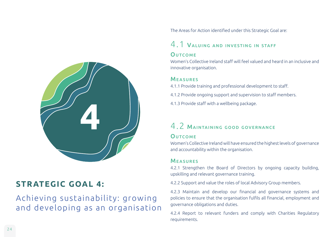

## **STR ATEGIC GOAL 4:**

## Achieving sustainability: growing and developing as an organisation

The Areas for Action identified under this Strategic Goal are:

## 4.1 Valuing and investing in staff

#### **OUTCOME**

Women's Collective Ireland staff will feel valued and heard in an inclusive and innovative organisation.

#### **MEASURES**

- 4.1.1 Provide training and professional development to staff.
- 4.1.2 Provide ongoing support and supervision to staff members.
- 4.1.3 Provide staff with a wellbeing package.

## 4.2 Maintaining good governance

#### **OUTCOME**

Women's Collective Ireland will have ensured the highest levels of governance and accountability within the organisation.

#### Measures

4.2.1 Strengthen the Board of Directors by ongoing capacity building, upskilling and relevant governance training.

4.2.2 Support and value the roles of local Advisory Group members.

4.2.3 Maintain and develop our financial and governance systems and policies to ensure that the organisation fulfils all financial, employment and governance obligations and duties.

4.2.4 Report to relevant funders and comply with Charities Regulatory requirements.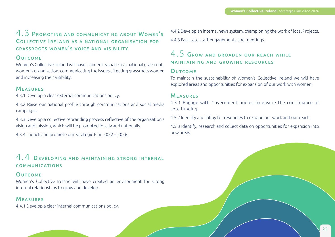#### 4.3 Promoting and communicating about Women's Collective Ireland as <sup>a</sup> national organisation for grassroots women's voice and visibility

#### **OUTCOME**

Women's Collective Ireland will have claimed its space as a national grassroots women's organisation, communicating the issues affecting grassroots women and increasing their visibility.

#### **MEASURES**

4.3.1 Develop a clear external communications policy.

4.3.2 Raise our national profile through communications and social media campaigns.

4.3.3 Develop a collective rebranding process reflective of the organisation's vision and mission, which will be promoted locally and nationally.

4.3.4 Launch and promote our Strategic Plan 2022 – 2026.

#### 4.4 Developing and maintaining strong internal COMMUNICATIONS communications

#### **OUTCOME**

Women's Collective Ireland will have created an environment for strong internal relationships to grow and develop.

#### Measures

4.4.1 Develop a clear internal communications policy.

4.4.2 Develop an internal news system, championing the work of local Projects. 4.4.3 Facilitate staff engagements and meetings.

### 4.5 Grow and broaden our reach while maintaining and growing resources

#### **OUTCOME**

To maintain the sustainability of Women's Collective Ireland we will have explored areas and opportunities for expansion of our work with women.

#### **MEASURES**

4.5.1 Engage with Government bodies to ensure the continuance of core funding.

4.5.2 Identify and lobby for resources to expand our work and our reach.

4.5.3 Identify, research and collect data on opportunities for expansion into new areas.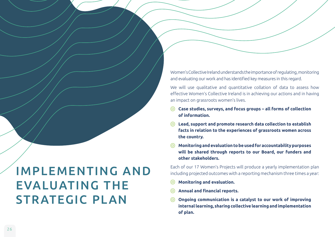Women's Collective Ireland understands the importance of regulating, monitoring and evaluating our work and has identified key measures in this regard.

We will use qualitative and quantitative collation of data to assess how effective Women's Collective Ireland is in achieving our actions and in having an impact on grassroots women's lives.

- **Case studies, surveys, and focus groups all forms of collection of information.**
- **Lead, support and promote research data collection to establish facts in relation to the experiences of grassroots women across the country.**
- **Monitoring and evaluation to be used for accountability purposes will be shared through reports to our Board, our funders and other stakeholders.**

Each of our 17 Women's Projects will produce a yearly implementation plan including projected outcomes with a reporting mechanism three times a year:

- **Monitoring and evaluation.**
- **Annual and financial reports.**
- **Ongoing communication is a catalyst to our work of improving**   $\odot$ **internal learning, sharing collective learning and implementation of plan.**

## IMPLEMENTING AND EVALUATING THE STRATEGIC PLAN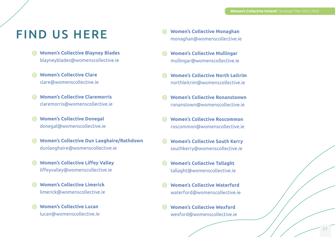## FIND US HERE

- **Women's Collective Blayney Blades**  blayneyblades@womenscollective.ie
- **Women's Collective Clare** clare@womenscollective.ie
- **Women's Collective Claremorris** claremorris@womenscollective.ie
- **Women's Collective Donegal** donegal@womenscollective.ie
- **Women's Collective Dun Laoghaire/Rathdown** dunlaoghaire@womenscollective.ie
- **Women's Collective Liffey Valley** liffeyvalley@womenscollective.ie
- **Women's Collective Limerick** limerick@womenscollective.ie
- **Women's Collective Lucan** lucan@womenscollective.ie
- **Women's Collective Monaghan** monaghan@womenscollective.ie
- **Women's Collective Mullingar** mullingar@womenscollective.ie
- **Women's Collective North Leitrim** northleitrim@womenscollective.ie
- **Women's Collective Ronanstonwn** ronanstown@womenscollective.ie
- **Women's Collective Roscommon** roscommon@womenscollective.ie
- **Women's Collective South Kerry** southkerry@womenscollective.ie
- **Women's Collective Tallaght** tallaght@womenscollective.ie
- **Women's Collective Waterford** waterford@womenscollective.ie
- **Women's Collective Wexford** wexford@womenscollective.ie